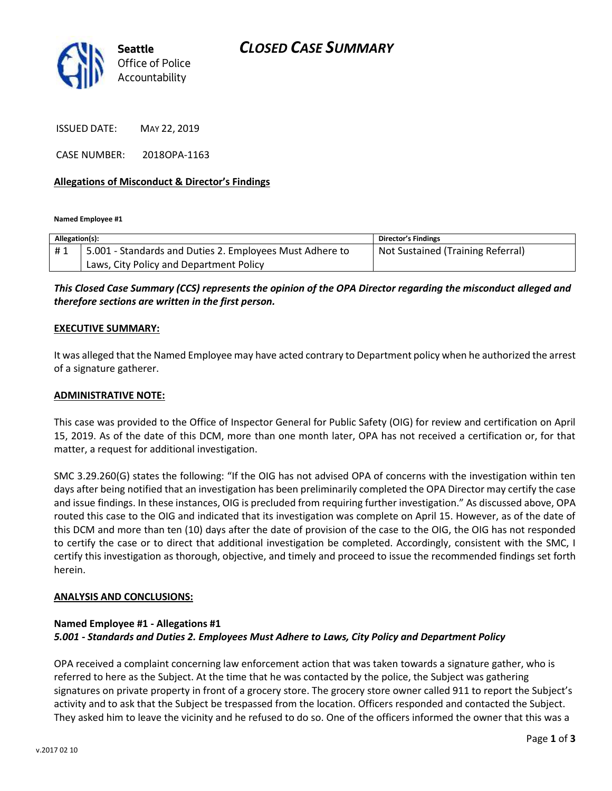

ISSUED DATE: MAY 22, 2019

CASE NUMBER: 2018OPA-1163

### **Allegations of Misconduct & Director's Findings**

**Named Employee #1**

| Allegation(s): |                                                          | Director's Findings               |
|----------------|----------------------------------------------------------|-----------------------------------|
| #1             | 5.001 - Standards and Duties 2. Employees Must Adhere to | Not Sustained (Training Referral) |
|                | Laws, City Policy and Department Policy                  |                                   |

## *This Closed Case Summary (CCS) represents the opinion of the OPA Director regarding the misconduct alleged and therefore sections are written in the first person.*

#### **EXECUTIVE SUMMARY:**

It was alleged that the Named Employee may have acted contrary to Department policy when he authorized the arrest of a signature gatherer.

#### **ADMINISTRATIVE NOTE:**

This case was provided to the Office of Inspector General for Public Safety (OIG) for review and certification on April 15, 2019. As of the date of this DCM, more than one month later, OPA has not received a certification or, for that matter, a request for additional investigation.

SMC 3.29.260(G) states the following: "If the OIG has not advised OPA of concerns with the investigation within ten days after being notified that an investigation has been preliminarily completed the OPA Director may certify the case and issue findings. In these instances, OIG is precluded from requiring further investigation." As discussed above, OPA routed this case to the OIG and indicated that its investigation was complete on April 15. However, as of the date of this DCM and more than ten (10) days after the date of provision of the case to the OIG, the OIG has not responded to certify the case or to direct that additional investigation be completed. Accordingly, consistent with the SMC, I certify this investigation as thorough, objective, and timely and proceed to issue the recommended findings set forth herein.

#### **ANALYSIS AND CONCLUSIONS:**

## **Named Employee #1 - Allegations #1** *5.001 - Standards and Duties 2. Employees Must Adhere to Laws, City Policy and Department Policy*

OPA received a complaint concerning law enforcement action that was taken towards a signature gather, who is referred to here as the Subject. At the time that he was contacted by the police, the Subject was gathering signatures on private property in front of a grocery store. The grocery store owner called 911 to report the Subject's activity and to ask that the Subject be trespassed from the location. Officers responded and contacted the Subject. They asked him to leave the vicinity and he refused to do so. One of the officers informed the owner that this was a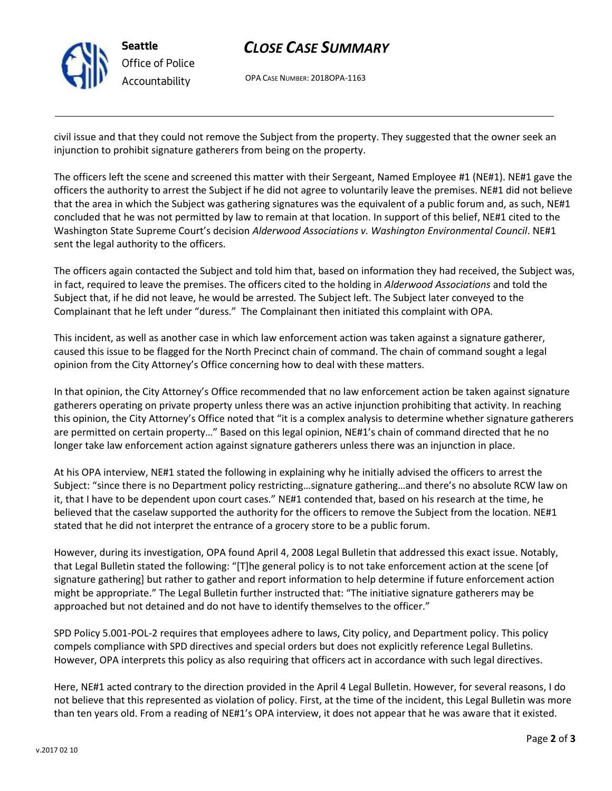

## *CLOSE CASE SUMMARY*

OPA CASE NUMBER: 2018OPA-1163

civil issue and that they could not remove the Subject from the property. They suggested that the owner seek an injunction to prohibit signature gatherers from being on the property.

The officers left the scene and screened this matter with their Sergeant, Named Employee #1 (NE#1). NE#1 gave the officers the authority to arrest the Subject if he did not agree to voluntarily leave the premises. NE#1 did not believe that the area in which the Subject was gathering signatures was the equivalent of a public forum and, as such, NE#1 concluded that he was not permitted by law to remain at that location. In support of this belief, NE#1 cited to the Washington State Supreme Court's decision *Alderwood Associations v. Washington Environmental Council*. NE#1 sent the legal authority to the officers.

The officers again contacted the Subject and told him that, based on information they had received, the Subject was, in fact, required to leave the premises. The officers cited to the holding in *Alderwood Associations* and told the Subject that, if he did not leave, he would be arrested. The Subject left. The Subject later conveyed to the Complainant that he left under "duress." The Complainant then initiated this complaint with OPA.

This incident, as well as another case in which law enforcement action was taken against a signature gatherer, caused this issue to be flagged for the North Precinct chain of command. The chain of command sought a legal opinion from the City Attorney's Office concerning how to deal with these matters.

In that opinion, the City Attorney's Office recommended that no law enforcement action be taken against signature gatherers operating on private property unless there was an active injunction prohibiting that activity. In reaching this opinion, the City Attorney's Office noted that "it is a complex analysis to determine whether signature gatherers are permitted on certain property…" Based on this legal opinion, NE#1's chain of command directed that he no longer take law enforcement action against signature gatherers unless there was an injunction in place.

At his OPA interview, NE#1 stated the following in explaining why he initially advised the officers to arrest the Subject: "since there is no Department policy restricting…signature gathering…and there's no absolute RCW law on it, that I have to be dependent upon court cases." NE#1 contended that, based on his research at the time, he believed that the caselaw supported the authority for the officers to remove the Subject from the location. NE#1 stated that he did not interpret the entrance of a grocery store to be a public forum.

However, during its investigation, OPA found April 4, 2008 Legal Bulletin that addressed this exact issue. Notably, that Legal Bulletin stated the following: "[T]he general policy is to not take enforcement action at the scene [of signature gathering] but rather to gather and report information to help determine if future enforcement action might be appropriate." The Legal Bulletin further instructed that: "The initiative signature gatherers may be approached but not detained and do not have to identify themselves to the officer."

SPD Policy 5.001-POL-2 requires that employees adhere to laws, City policy, and Department policy. This policy compels compliance with SPD directives and special orders but does not explicitly reference Legal Bulletins. However, OPA interprets this policy as also requiring that officers act in accordance with such legal directives.

Here, NE#1 acted contrary to the direction provided in the April 4 Legal Bulletin. However, for several reasons, I do not believe that this represented as violation of policy. First, at the time of the incident, this Legal Bulletin was more than ten years old. From a reading of NE#1's OPA interview, it does not appear that he was aware that it existed.